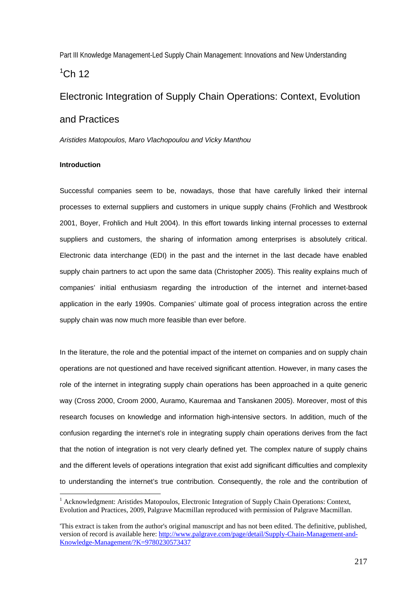Part III Knowledge Management-Led Supply Chain Management: Innovations and New Understanding

# $1$ Ch 12

# Electronic Integration of Supply Chain Operations: Context, Evolution and Practices

*Aristides Matopoulos, Maro Vlachopoulou and Vicky Manthou* 

# **Introduction**

1

Successful companies seem to be, nowadays, those that have carefully linked their internal processes to external suppliers and customers in unique supply chains (Frohlich and Westbrook 2001, Boyer, Frohlich and Hult 2004). In this effort towards linking internal processes to external suppliers and customers, the sharing of information among enterprises is absolutely critical. Electronic data interchange (EDI) in the past and the internet in the last decade have enabled supply chain partners to act upon the same data (Christopher 2005). This reality explains much of companies' initial enthusiasm regarding the introduction of the internet and internet-based application in the early 1990s. Companies' ultimate goal of process integration across the entire supply chain was now much more feasible than ever before.

In the literature, the role and the potential impact of the internet on companies and on supply chain operations are not questioned and have received significant attention. However, in many cases the role of the internet in integrating supply chain operations has been approached in a quite generic way (Cross 2000, Croom 2000, Auramo, Kauremaa and Tanskanen 2005). Moreover, most of this research focuses on knowledge and information high-intensive sectors. In addition, much of the confusion regarding the internet's role in integrating supply chain operations derives from the fact that the notion of integration is not very clearly defined yet. The complex nature of supply chains and the different levels of operations integration that exist add significant difficulties and complexity to understanding the internet's true contribution. Consequently, the role and the contribution of

<sup>&</sup>lt;sup>1</sup> Acknowledgment: Aristides Matopoulos, Electronic Integration of Supply Chain Operations: Context, Evolution and Practices, 2009, Palgrave Macmillan reproduced with permission of Palgrave Macmillan.

<sup>&#</sup>x27;This extract is taken from the author's original manuscript and has not been edited. The definitive, published, version of record is available here: http://www.palgrave.com/page/detail/Supply-Chain-Management-and-Knowledge-Management/?K=9780230573437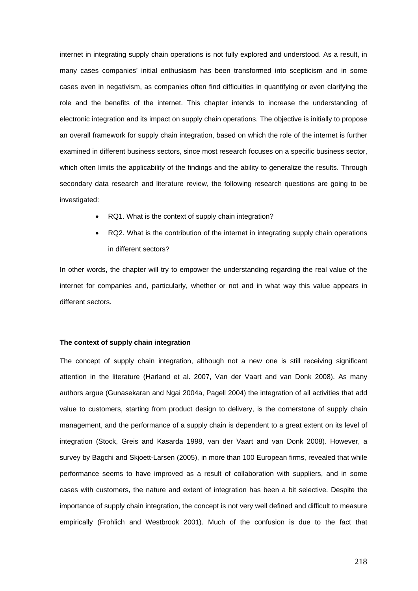internet in integrating supply chain operations is not fully explored and understood. As a result, in many cases companies' initial enthusiasm has been transformed into scepticism and in some cases even in negativism, as companies often find difficulties in quantifying or even clarifying the role and the benefits of the internet. This chapter intends to increase the understanding of electronic integration and its impact on supply chain operations. The objective is initially to propose an overall framework for supply chain integration, based on which the role of the internet is further examined in different business sectors, since most research focuses on a specific business sector, which often limits the applicability of the findings and the ability to generalize the results. Through secondary data research and literature review, the following research questions are going to be investigated:

- RQ1. What is the context of supply chain integration?
- RQ2. What is the contribution of the internet in integrating supply chain operations in different sectors?

In other words, the chapter will try to empower the understanding regarding the real value of the internet for companies and, particularly, whether or not and in what way this value appears in different sectors.

### **The context of supply chain integration**

The concept of supply chain integration, although not a new one is still receiving significant attention in the literature (Harland et al. 2007, Van der Vaart and van Donk 2008). As many authors argue (Gunasekaran and Ngai 2004a, Pagell 2004) the integration of all activities that add value to customers, starting from product design to delivery, is the cornerstone of supply chain management, and the performance of a supply chain is dependent to a great extent on its level of integration (Stock, Greis and Kasarda 1998, van der Vaart and van Donk 2008). However, a survey by Bagchi and Skjoett-Larsen (2005), in more than 100 European firms, revealed that while performance seems to have improved as a result of collaboration with suppliers, and in some cases with customers, the nature and extent of integration has been a bit selective. Despite the importance of supply chain integration, the concept is not very well defined and difficult to measure empirically (Frohlich and Westbrook 2001). Much of the confusion is due to the fact that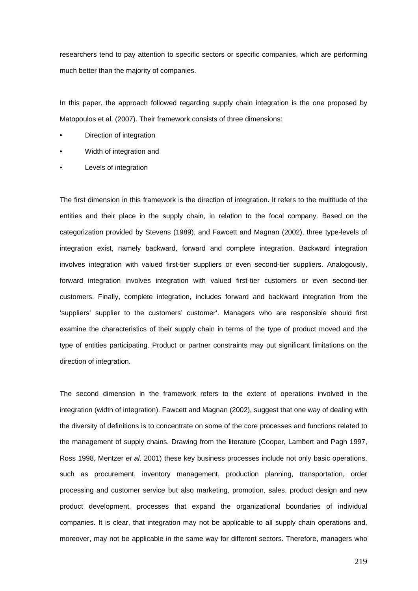researchers tend to pay attention to specific sectors or specific companies, which are performing much better than the majority of companies.

In this paper, the approach followed regarding supply chain integration is the one proposed by Matopoulos et al. (2007). Their framework consists of three dimensions:

- Direction of integration
- Width of integration and
- Levels of integration

The first dimension in this framework is the direction of integration. It refers to the multitude of the entities and their place in the supply chain, in relation to the focal company. Based on the categorization provided by Stevens (1989), and Fawcett and Magnan (2002), three type-levels of integration exist, namely backward, forward and complete integration. Backward integration involves integration with valued first-tier suppliers or even second-tier suppliers. Analogously, forward integration involves integration with valued first-tier customers or even second-tier customers. Finally, complete integration, includes forward and backward integration from the 'suppliers' supplier to the customers' customer'. Managers who are responsible should first examine the characteristics of their supply chain in terms of the type of product moved and the type of entities participating. Product or partner constraints may put significant limitations on the direction of integration.

The second dimension in the framework refers to the extent of operations involved in the integration (width of integration). Fawcett and Magnan (2002), suggest that one way of dealing with the diversity of definitions is to concentrate on some of the core processes and functions related to the management of supply chains. Drawing from the literature (Cooper, Lambert and Pagh 1997, Ross 1998, Mentzer *et al*. 2001) these key business processes include not only basic operations, such as procurement, inventory management, production planning, transportation, order processing and customer service but also marketing, promotion, sales, product design and new product development, processes that expand the organizational boundaries of individual companies. It is clear, that integration may not be applicable to all supply chain operations and, moreover, may not be applicable in the same way for different sectors. Therefore, managers who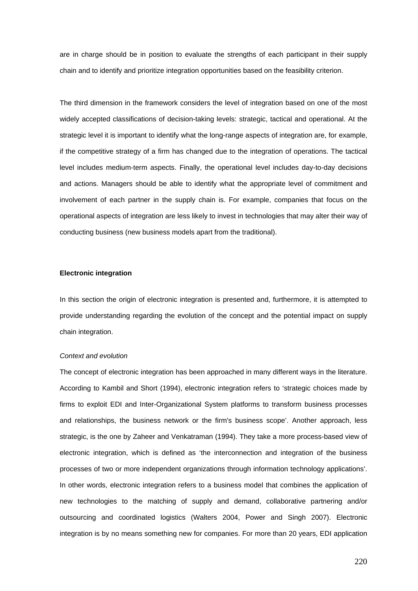are in charge should be in position to evaluate the strengths of each participant in their supply chain and to identify and prioritize integration opportunities based on the feasibility criterion.

The third dimension in the framework considers the level of integration based on one of the most widely accepted classifications of decision-taking levels: strategic, tactical and operational. At the strategic level it is important to identify what the long-range aspects of integration are, for example, if the competitive strategy of a firm has changed due to the integration of operations. The tactical level includes medium-term aspects. Finally, the operational level includes day-to-day decisions and actions. Managers should be able to identify what the appropriate level of commitment and involvement of each partner in the supply chain is. For example, companies that focus on the operational aspects of integration are less likely to invest in technologies that may alter their way of conducting business (new business models apart from the traditional).

#### **Electronic integration**

In this section the origin of electronic integration is presented and, furthermore, it is attempted to provide understanding regarding the evolution of the concept and the potential impact on supply chain integration.

#### *Context and evolution*

The concept of electronic integration has been approached in many different ways in the literature. According to Kambil and Short (1994), electronic integration refers to 'strategic choices made by firms to exploit EDI and Inter-Organizational System platforms to transform business processes and relationships, the business network or the firm's business scope'. Another approach, less strategic, is the one by Zaheer and Venkatraman (1994). They take a more process-based view of electronic integration, which is defined as 'the interconnection and integration of the business processes of two or more independent organizations through information technology applications'. In other words, electronic integration refers to a business model that combines the application of new technologies to the matching of supply and demand, collaborative partnering and/or outsourcing and coordinated logistics (Walters 2004, Power and Singh 2007). Electronic integration is by no means something new for companies. For more than 20 years, EDI application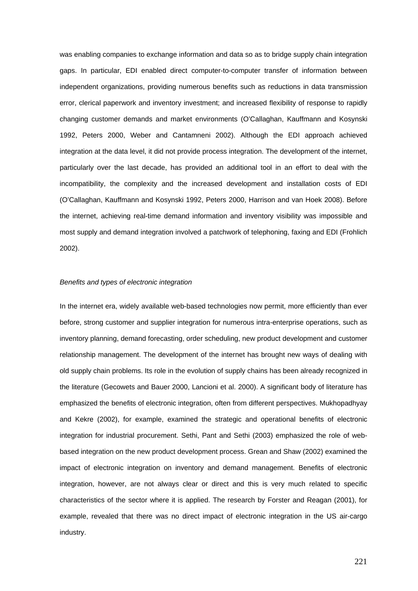was enabling companies to exchange information and data so as to bridge supply chain integration gaps. In particular, EDI enabled direct computer-to-computer transfer of information between independent organizations, providing numerous benefits such as reductions in data transmission error, clerical paperwork and inventory investment; and increased flexibility of response to rapidly changing customer demands and market environments (O'Callaghan, Kauffmann and Kosynski 1992, Peters 2000, Weber and Cantamneni 2002). Although the EDI approach achieved integration at the data level, it did not provide process integration. The development of the internet, particularly over the last decade, has provided an additional tool in an effort to deal with the incompatibility, the complexity and the increased development and installation costs of EDI (O'Callaghan, Kauffmann and Kosynski 1992, Peters 2000, Harrison and van Hoek 2008). Before the internet, achieving real-time demand information and inventory visibility was impossible and most supply and demand integration involved a patchwork of telephoning, faxing and EDI (Frohlich 2002).

#### *Benefits and types of electronic integration*

In the internet era, widely available web-based technologies now permit, more efficiently than ever before, strong customer and supplier integration for numerous intra-enterprise operations, such as inventory planning, demand forecasting, order scheduling, new product development and customer relationship management. The development of the internet has brought new ways of dealing with old supply chain problems. Its role in the evolution of supply chains has been already recognized in the literature (Gecowets and Bauer 2000, Lancioni et al. 2000). A significant body of literature has emphasized the benefits of electronic integration, often from different perspectives. Mukhopadhyay and Kekre (2002), for example, examined the strategic and operational benefits of electronic integration for industrial procurement. Sethi, Pant and Sethi (2003) emphasized the role of webbased integration on the new product development process. Grean and Shaw (2002) examined the impact of electronic integration on inventory and demand management. Benefits of electronic integration, however, are not always clear or direct and this is very much related to specific characteristics of the sector where it is applied. The research by Forster and Reagan (2001), for example, revealed that there was no direct impact of electronic integration in the US air-cargo industry.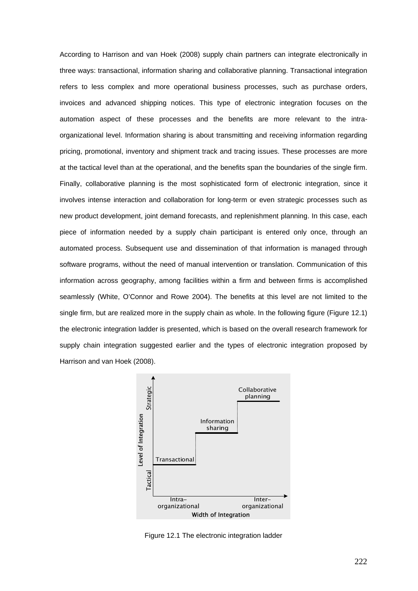According to Harrison and van Hoek (2008) supply chain partners can integrate electronically in three ways: transactional, information sharing and collaborative planning. Transactional integration refers to less complex and more operational business processes, such as purchase orders, invoices and advanced shipping notices. This type of electronic integration focuses on the automation aspect of these processes and the benefits are more relevant to the intraorganizational level. Information sharing is about transmitting and receiving information regarding pricing, promotional, inventory and shipment track and tracing issues. These processes are more at the tactical level than at the operational, and the benefits span the boundaries of the single firm. Finally, collaborative planning is the most sophisticated form of electronic integration, since it involves intense interaction and collaboration for long-term or even strategic processes such as new product development, joint demand forecasts, and replenishment planning. In this case, each piece of information needed by a supply chain participant is entered only once, through an automated process. Subsequent use and dissemination of that information is managed through software programs, without the need of manual intervention or translation. Communication of this information across geography, among facilities within a firm and between firms is accomplished seamlessly (White, O'Connor and Rowe 2004). The benefits at this level are not limited to the single firm, but are realized more in the supply chain as whole. In the following figure (Figure 12.1) the electronic integration ladder is presented, which is based on the overall research framework for supply chain integration suggested earlier and the types of electronic integration proposed by Harrison and van Hoek (2008).



Figure 12.1 The electronic integration ladder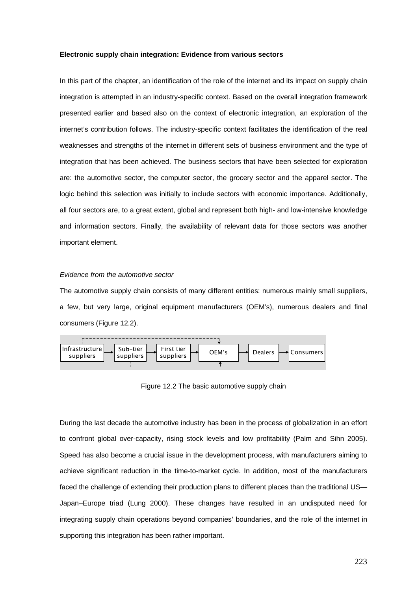#### **Electronic supply chain integration: Evidence from various sectors**

In this part of the chapter, an identification of the role of the internet and its impact on supply chain integration is attempted in an industry-specific context. Based on the overall integration framework presented earlier and based also on the context of electronic integration, an exploration of the internet's contribution follows. The industry-specific context facilitates the identification of the real weaknesses and strengths of the internet in different sets of business environment and the type of integration that has been achieved. The business sectors that have been selected for exploration are: the automotive sector, the computer sector, the grocery sector and the apparel sector. The logic behind this selection was initially to include sectors with economic importance. Additionally, all four sectors are, to a great extent, global and represent both high- and low-intensive knowledge and information sectors. Finally, the availability of relevant data for those sectors was another important element.

## *Evidence from the automotive sector*

The automotive supply chain consists of many different entities: numerous mainly small suppliers, a few, but very large, original equipment manufacturers (OEM's), numerous dealers and final consumers (Figure 12.2).



Figure 12.2 The basic automotive supply chain

During the last decade the automotive industry has been in the process of globalization in an effort to confront global over-capacity, rising stock levels and low profitability (Palm and Sihn 2005). Speed has also become a crucial issue in the development process, with manufacturers aiming to achieve significant reduction in the time-to-market cycle. In addition, most of the manufacturers faced the challenge of extending their production plans to different places than the traditional US— Japan–Europe triad (Lung 2000). These changes have resulted in an undisputed need for integrating supply chain operations beyond companies' boundaries, and the role of the internet in supporting this integration has been rather important.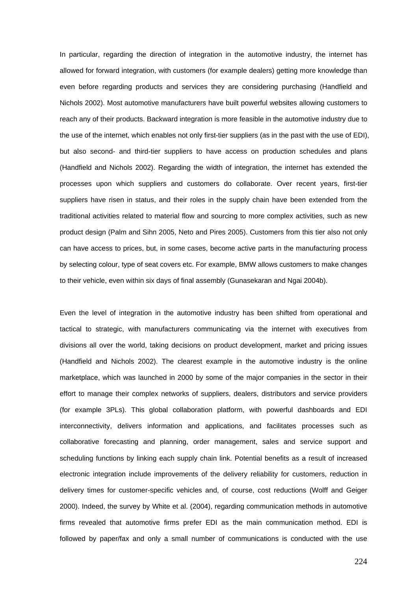In particular, regarding the direction of integration in the automotive industry, the internet has allowed for forward integration, with customers (for example dealers) getting more knowledge than even before regarding products and services they are considering purchasing (Handfield and Nichols 2002). Most automotive manufacturers have built powerful websites allowing customers to reach any of their products. Backward integration is more feasible in the automotive industry due to the use of the internet, which enables not only first-tier suppliers (as in the past with the use of EDI), but also second- and third-tier suppliers to have access on production schedules and plans (Handfield and Nichols 2002). Regarding the width of integration, the internet has extended the processes upon which suppliers and customers do collaborate. Over recent years, first-tier suppliers have risen in status, and their roles in the supply chain have been extended from the traditional activities related to material flow and sourcing to more complex activities, such as new product design (Palm and Sihn 2005, Neto and Pires 2005). Customers from this tier also not only can have access to prices, but, in some cases, become active parts in the manufacturing process by selecting colour, type of seat covers etc. For example, BMW allows customers to make changes to their vehicle, even within six days of final assembly (Gunasekaran and Ngai 2004b).

Even the level of integration in the automotive industry has been shifted from operational and tactical to strategic, with manufacturers communicating via the internet with executives from divisions all over the world, taking decisions on product development, market and pricing issues (Handfield and Nichols 2002). The clearest example in the automotive industry is the online marketplace, which was launched in 2000 by some of the major companies in the sector in their effort to manage their complex networks of suppliers, dealers, distributors and service providers (for example 3PLs). This global collaboration platform, with powerful dashboards and EDI interconnectivity, delivers information and applications, and facilitates processes such as collaborative forecasting and planning, order management, sales and service support and scheduling functions by linking each supply chain link. Potential benefits as a result of increased electronic integration include improvements of the delivery reliability for customers, reduction in delivery times for customer-specific vehicles and, of course, cost reductions (Wolff and Geiger 2000). Indeed, the survey by White et al. (2004), regarding communication methods in automotive firms revealed that automotive firms prefer EDI as the main communication method. EDI is followed by paper/fax and only a small number of communications is conducted with the use

224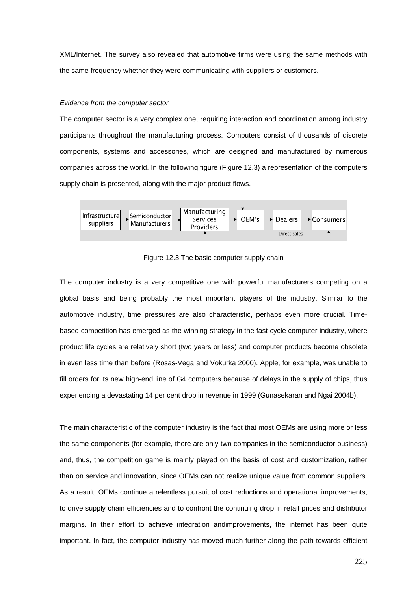XML/Internet. The survey also revealed that automotive firms were using the same methods with the same frequency whether they were communicating with suppliers or customers.

#### *Evidence from the computer sector*

The computer sector is a very complex one, requiring interaction and coordination among industry participants throughout the manufacturing process. Computers consist of thousands of discrete components, systems and accessories, which are designed and manufactured by numerous companies across the world. In the following figure (Figure 12.3) a representation of the computers supply chain is presented, along with the major product flows.



Figure 12.3 The basic computer supply chain

The computer industry is a very competitive one with powerful manufacturers competing on a global basis and being probably the most important players of the industry. Similar to the automotive industry, time pressures are also characteristic, perhaps even more crucial. Timebased competition has emerged as the winning strategy in the fast-cycle computer industry, where product life cycles are relatively short (two years or less) and computer products become obsolete in even less time than before (Rosas-Vega and Vokurka 2000). Apple, for example, was unable to fill orders for its new high-end line of G4 computers because of delays in the supply of chips, thus experiencing a devastating 14 per cent drop in revenue in 1999 (Gunasekaran and Ngai 2004b).

The main characteristic of the computer industry is the fact that most OEMs are using more or less the same components (for example, there are only two companies in the semiconductor business) and, thus, the competition game is mainly played on the basis of cost and customization, rather than on service and innovation, since OEMs can not realize unique value from common suppliers. As a result, OEMs continue a relentless pursuit of cost reductions and operational improvements, to drive supply chain efficiencies and to confront the continuing drop in retail prices and distributor margins. In their effort to achieve integration andimprovements, the internet has been quite important. In fact, the computer industry has moved much further along the path towards efficient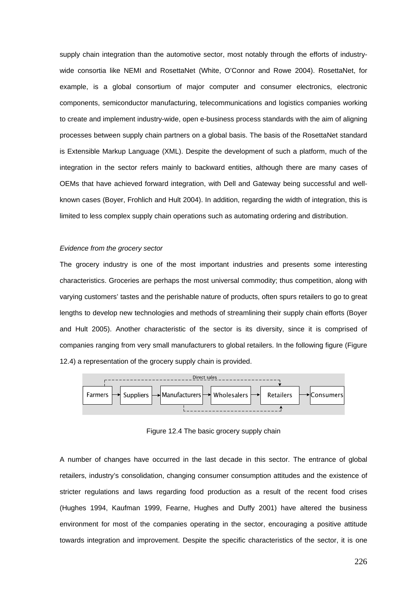supply chain integration than the automotive sector, most notably through the efforts of industrywide consortia like NEMI and RosettaNet (White, O'Connor and Rowe 2004). RosettaNet, for example, is a global consortium of major computer and consumer electronics, electronic components, semiconductor manufacturing, telecommunications and logistics companies working to create and implement industry-wide, open e-business process standards with the aim of aligning processes between supply chain partners on a global basis. The basis of the RosettaNet standard is Extensible Markup Language (XML). Despite the development of such a platform, much of the integration in the sector refers mainly to backward entities, although there are many cases of OEMs that have achieved forward integration, with Dell and Gateway being successful and wellknown cases (Boyer, Frohlich and Hult 2004). In addition, regarding the width of integration, this is limited to less complex supply chain operations such as automating ordering and distribution.

#### *Evidence from the grocery sector*

The grocery industry is one of the most important industries and presents some interesting characteristics. Groceries are perhaps the most universal commodity; thus competition, along with varying customers' tastes and the perishable nature of products, often spurs retailers to go to great lengths to develop new technologies and methods of streamlining their supply chain efforts (Boyer and Hult 2005). Another characteristic of the sector is its diversity, since it is comprised of companies ranging from very small manufacturers to global retailers. In the following figure (Figure 12.4) a representation of the grocery supply chain is provided.



Figure 12.4 The basic grocery supply chain

A number of changes have occurred in the last decade in this sector. The entrance of global retailers, industry's consolidation, changing consumer consumption attitudes and the existence of stricter regulations and laws regarding food production as a result of the recent food crises (Hughes 1994, Kaufman 1999, Fearne, Hughes and Duffy 2001) have altered the business environment for most of the companies operating in the sector, encouraging a positive attitude towards integration and improvement. Despite the specific characteristics of the sector, it is one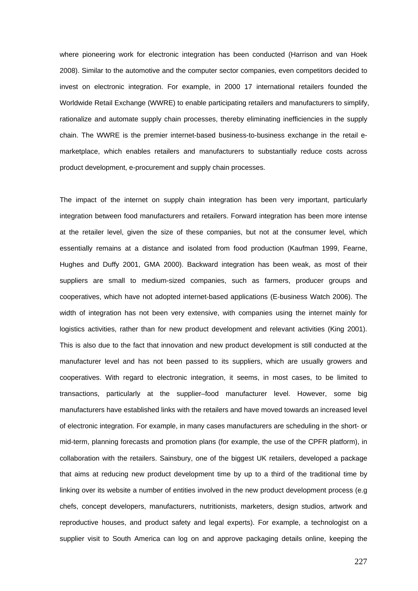where pioneering work for electronic integration has been conducted (Harrison and van Hoek 2008). Similar to the automotive and the computer sector companies, even competitors decided to invest on electronic integration. For example, in 2000 17 international retailers founded the Worldwide Retail Exchange (WWRE) to enable participating retailers and manufacturers to simplify, rationalize and automate supply chain processes, thereby eliminating inefficiencies in the supply chain. The WWRE is the premier internet-based business-to-business exchange in the retail emarketplace, which enables retailers and manufacturers to substantially reduce costs across product development, e-procurement and supply chain processes.

The impact of the internet on supply chain integration has been very important, particularly integration between food manufacturers and retailers. Forward integration has been more intense at the retailer level, given the size of these companies, but not at the consumer level, which essentially remains at a distance and isolated from food production (Kaufman 1999, Fearne, Hughes and Duffy 2001, GMA 2000). Backward integration has been weak, as most of their suppliers are small to medium-sized companies, such as farmers, producer groups and cooperatives, which have not adopted internet-based applications (E-business Watch 2006). The width of integration has not been very extensive, with companies using the internet mainly for logistics activities, rather than for new product development and relevant activities (King 2001). This is also due to the fact that innovation and new product development is still conducted at the manufacturer level and has not been passed to its suppliers, which are usually growers and cooperatives. With regard to electronic integration, it seems, in most cases, to be limited to transactions, particularly at the supplier–food manufacturer level. However, some big manufacturers have established links with the retailers and have moved towards an increased level of electronic integration. For example, in many cases manufacturers are scheduling in the short- or mid-term, planning forecasts and promotion plans (for example, the use of the CPFR platform), in collaboration with the retailers. Sainsbury, one of the biggest UK retailers, developed a package that aims at reducing new product development time by up to a third of the traditional time by linking over its website a number of entities involved in the new product development process (e.g chefs, concept developers, manufacturers, nutritionists, marketers, design studios, artwork and reproductive houses, and product safety and legal experts). For example, a technologist on a supplier visit to South America can log on and approve packaging details online, keeping the

227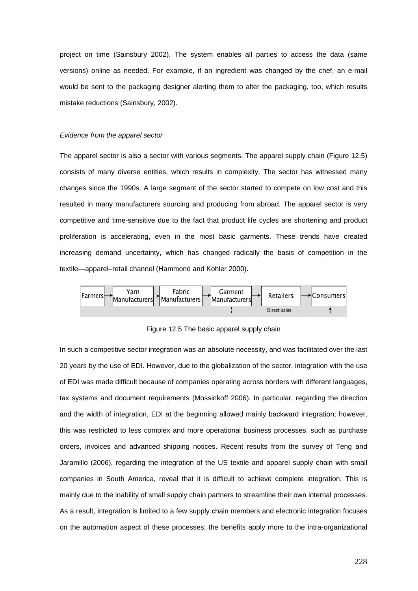project on time (Sainsbury 2002). The system enables all parties to access the data (same versions) online as needed. For example, if an ingredient was changed by the chef, an e-mail would be sent to the packaging designer alerting them to alter the packaging, too, which results mistake reductions (Sainsbury, 2002).

#### *Evidence from the apparel sector*

The apparel sector is also a sector with various segments. The apparel supply chain (Figure 12.5) consists of many diverse entities, which results in complexity. The sector has witnessed many changes since the 1990s. A large segment of the sector started to compete on low cost and this resulted in many manufacturers sourcing and producing from abroad. The apparel sector is very competitive and time-sensitive due to the fact that product life cycles are shortening and product proliferation is accelerating, even in the most basic garments. These trends have created increasing demand uncertainty, which has changed radically the basis of competition in the textile—apparel–retail channel (Hammond and Kohler 2000).



Figure 12.5 The basic apparel supply chain

In such a competitive sector integration was an absolute necessity, and was facilitated over the last 20 years by the use of EDI. However, due to the globalization of the sector, integration with the use of EDI was made difficult because of companies operating across borders with different languages, tax systems and document requirements (Mossinkoff 2006). In particular, regarding the direction and the width of integration, EDI at the beginning allowed mainly backward integration; however, this was restricted to less complex and more operational business processes, such as purchase orders, invoices and advanced shipping notices. Recent results from the survey of Teng and Jaramillo (2006), regarding the integration of the US textile and apparel supply chain with small companies in South America, reveal that it is difficult to achieve complete integration. This is mainly due to the inability of small supply chain partners to streamline their own internal processes. As a result, integration is limited to a few supply chain members and electronic integration focuses on the automation aspect of these processes; the benefits apply more to the intra-organizational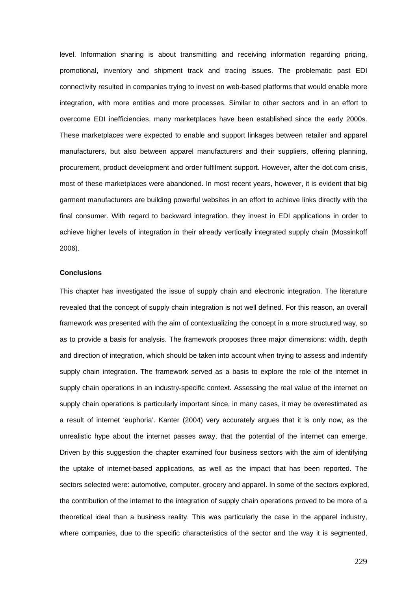level. Information sharing is about transmitting and receiving information regarding pricing, promotional, inventory and shipment track and tracing issues. The problematic past EDI connectivity resulted in companies trying to invest on web-based platforms that would enable more integration, with more entities and more processes. Similar to other sectors and in an effort to overcome EDI inefficiencies, many marketplaces have been established since the early 2000s. These marketplaces were expected to enable and support linkages between retailer and apparel manufacturers, but also between apparel manufacturers and their suppliers, offering planning, procurement, product development and order fulfilment support. However, after the dot.com crisis, most of these marketplaces were abandoned. In most recent years, however, it is evident that big garment manufacturers are building powerful websites in an effort to achieve links directly with the final consumer. With regard to backward integration, they invest in EDI applications in order to achieve higher levels of integration in their already vertically integrated supply chain (Mossinkoff 2006).

# **Conclusions**

This chapter has investigated the issue of supply chain and electronic integration. The literature revealed that the concept of supply chain integration is not well defined. For this reason, an overall framework was presented with the aim of contextualizing the concept in a more structured way, so as to provide a basis for analysis. The framework proposes three major dimensions: width, depth and direction of integration, which should be taken into account when trying to assess and indentify supply chain integration. The framework served as a basis to explore the role of the internet in supply chain operations in an industry-specific context. Assessing the real value of the internet on supply chain operations is particularly important since, in many cases, it may be overestimated as a result of internet 'euphoria'. Kanter (2004) very accurately argues that it is only now, as the unrealistic hype about the internet passes away, that the potential of the internet can emerge. Driven by this suggestion the chapter examined four business sectors with the aim of identifying the uptake of internet-based applications, as well as the impact that has been reported. The sectors selected were: automotive, computer, grocery and apparel. In some of the sectors explored, the contribution of the internet to the integration of supply chain operations proved to be more of a theoretical ideal than a business reality. This was particularly the case in the apparel industry, where companies, due to the specific characteristics of the sector and the way it is segmented,

229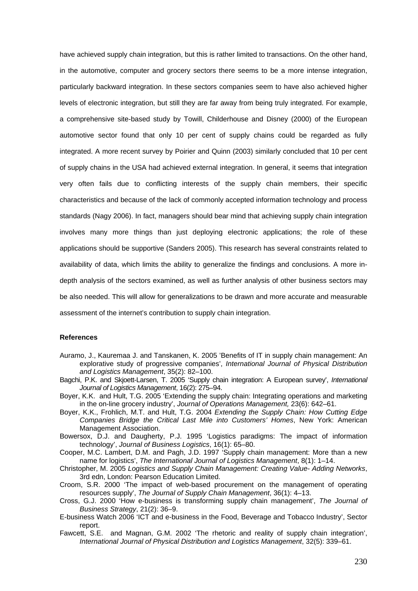have achieved supply chain integration, but this is rather limited to transactions. On the other hand, in the automotive, computer and grocery sectors there seems to be a more intense integration, particularly backward integration. In these sectors companies seem to have also achieved higher levels of electronic integration, but still they are far away from being truly integrated. For example, a comprehensive site-based study by Towill, Childerhouse and Disney (2000) of the European automotive sector found that only 10 per cent of supply chains could be regarded as fully integrated. A more recent survey by Poirier and Quinn (2003) similarly concluded that 10 per cent of supply chains in the USA had achieved external integration. In general, it seems that integration very often fails due to conflicting interests of the supply chain members, their specific characteristics and because of the lack of commonly accepted information technology and process standards (Nagy 2006). In fact, managers should bear mind that achieving supply chain integration involves many more things than just deploying electronic applications; the role of these applications should be supportive (Sanders 2005). This research has several constraints related to availability of data, which limits the ability to generalize the findings and conclusions. A more indepth analysis of the sectors examined, as well as further analysis of other business sectors may be also needed. This will allow for generalizations to be drawn and more accurate and measurable assessment of the internet's contribution to supply chain integration.

### **References**

- Auramo, J., Kauremaa J. and Tanskanen, K. 2005 'Benefits of IT in supply chain management: An explorative study of progressive companies', *International Journal of Physical Distribution and Logistics Management*, 35(2): 82–100.
- Bagchi, P.K. and Skjoett-Larsen, T. 2005 'Supply chain integration: A European survey', *International Journal of Logistics Management*, 16(2): 275–94.
- Boyer, K.K. and Hult, T.G. 2005 'Extending the supply chain: Integrating operations and marketing in the on-line grocery industry', *Journal of Operations Management,* 23(6): 642–61.
- Boyer, K.K., Frohlich, M.T. and Hult, T.G. 2004 *Extending the Supply Chain: How Cutting Edge Companies Bridge the Critical Last Mile into Customers' Homes*, New York: American Management Association.
- Bowersox, D.J. and Daugherty, P.J. 1995 'Logistics paradigms: The impact of information technology', *Journal of Business Logistics*, 16(1): 65–80.
- Cooper, M.C. Lambert, D.M. and Pagh, J.D. 1997 'Supply chain management: More than a new name for logistics', *The International Journal of Logistics Management*, 8(1): 1–14.
- Christopher, M. 2005 *Logistics and Supply Chain Management: Creating Value- Adding Networks*, 3rd edn, London: Pearson Education Limited.
- Croom, S.R. 2000 'The impact of web-based procurement on the management of operating resources supply', *The Journal of Supply Chain Management*, 36(1): 4–13.
- Cross, G.J. 2000 'How e-business is transforming supply chain management', *The Journal of Business Strategy*, 21(2): 36–9.
- E-business Watch 2006 'ICT and e-business in the Food, Beverage and Tobacco Industry', Sector report.
- Fawcett, S.E. and Magnan, G.M. 2002 'The rhetoric and reality of supply chain integration', *International Journal of Physical Distribution and Logistics Management*, 32(5): 339–61.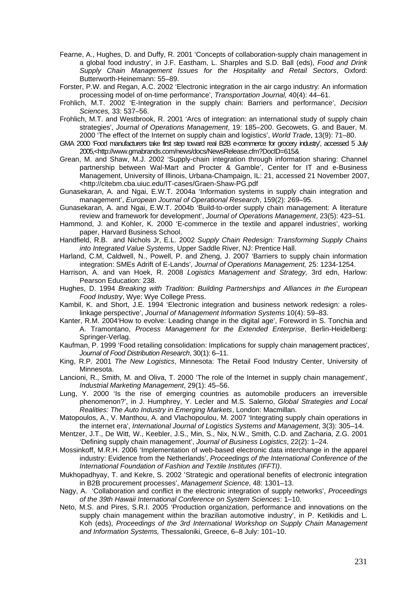- Fearne, A., Hughes, D. and Duffy, R. 2001 'Concepts of collaboration-supply chain management in a global food industry', in J.F. Eastham, L. Sharples and S.D. Ball (eds), *Food and Drink Supply Chain Management Issues for the Hospitality and Retail Sectors*, Oxford: Butterworth-Heinemann: 55–89.
- Forster, P.W. and Regan, A.C. 2002 'Electronic integration in the air cargo industry: An information processing model of on-time performance', *Transportation Journal,* 40(4): 44–61.
- Frohlich, M.T. 2002 'E-Integration in the supply chain: Barriers and performance', *Decision Sciences,* 33: 537–56.
- Frohlich, M.T. and Westbrook, R. 2001 'Arcs of integration: an international study of supply chain strategies', *Journal of Operations Management*, 19: 185–200. Gecowets, G. and Bauer, M. 2000 'The effect of the Internet on supply chain and logistics', *World Trade*, 13(9): 71–80.
- GMA 2000 'Food manufacturers take first step toward real B2B e-commerce for grocery industry', accessed 5 July 2005,<http://www.gmabrands.com/news/docs/NewsRelease.cfm?DocID=615&
- Grean, M. and Shaw, M.J. 2002 'Supply-chain integration through information sharing: Channel partnership between Wal-Mart and Procter & Gamble', Center for IT and e-Business Management, University of Illinois, Urbana-Champaign, IL: 21, accessed 21 November 2007, <http://citebm.cba.uiuc.edu/IT-cases/Graen-Shaw-PG.pdf
- Gunasekaran, A. and Ngai, E.W.T. 2004a 'Information systems in supply chain integration and management', *European Journal of Operational Research*, 159(2): 269–95.
- Gunasekaran, A. and Ngai, E.W.T. 2004b 'Build-to-order supply chain management: A literature review and framework for development', *Journal of Operations Management*, 23(5): 423–51.
- Hammond, J. and Kohler, K. 2000 'E-commerce in the textile and apparel industries', working paper, Harvard Business School.
- Handfield, R.B. and Nichols Jr, E.L. 2002 *Supply Chain Redesign: Transforming Supply Chains into Integrated Value Systems*, Upper Saddle River, NJ: Prentice Hall.
- Harland, C.M, Caldwell, N., Powell, P. and Zheng, J. 2007 'Barriers to supply chain information integration: SMEs Adrift of E-Lands', *Journal of Operations Management,* 25: 1234-1254.
- Harrison, A. and van Hoek, R. 2008 *Logistics Management and Strategy,* 3rd edn, Harlow: Pearson Education: 238.
- Hughes, D. 1994 *Breaking with Tradition: Building Partnerships and Alliances in the European Food Industry*, Wye: Wye College Press.
- Kambil, K. and Short, J.E. 1994 'Electronic integration and business network redesign: a roleslinkage perspective', *Journal of Management Information Systems* 10(4): 59–83.
- Kanter, R.M. 2004'How to evolve: Leading change in the digital age', Foreword in S. Tonchia and A. Tramontano, *Process Management for the Extended Enterprise*, Berlin-Heidelberg: Springer-Verlag.
- Kaufman, P. 1999 'Food retailing consolidation: Implications for supply chain management practices', *Journal of Food Distribution Research*, 30(1): 6–11.
- King, R.P. 2001 *The New Logistics*, Minnesota: The Retail Food Industry Center, University of Minnesota.
- Lancioni, R., Smith, M. and Oliva, T. 2000 'The role of the Internet in supply chain management', *Industrial Marketing Management*, 29(1): 45–56.
- Lung, Y. 2000 'Is the rise of emerging countries as automobile producers an irreversible phenomenon?', in J. Humphrey, Y. Lecler and M.S. Salerno, *Global Strategies and Local Realities: The Auto Industry in Emerging Markets*, London: Macmillan.
- Matopoulos, A., V. Manthou, A. and Vlachopoulou, M. 2007 'Integrating supply chain operations in the internet era', *International Journal of Logistics Systems and Management*, 3(3): 305–14.
- Mentzer, J.T., De Witt, W., Keebler, J.S., Min, S., Nix, N.W., Smith, C.D. and Zacharia, Z.G. 2001 'Defining supply chain management', *Journal of Business Logistics*, 22(2): 1–24.
- Mossinkoff, M.R.H. 2006 'Implementation of web-based electronic data interchange in the apparel industry: Evidence from the Netherlands', *Proceedings of the International Conference of the International Foundation of Fashion and Textile Institutes (IFFTI)*.
- Mukhopadhyay, T. and Kekre, S. 2002 'Strategic and operational benefits of electronic integration in B2B procurement processes', *Management Science*, 48: 1301–13.
- Nagy, A. 'Collaboration and conflict in the electronic integration of supply networks', *Proceedings of the 39th Hawaii International Conference on System Sciences*: 1–10.
- Neto, M.S. and Pires, S.R.I. 2005 'Production organization, performance and innovations on the supply chain management within the brazilian automotive industry', in P. Ketikidis and L. Koh (eds), *Proceedings of the 3rd International Workshop on Supply Chain Management and Information Systems,* Thessaloniki, Greece, 6–8 July: 101–10.